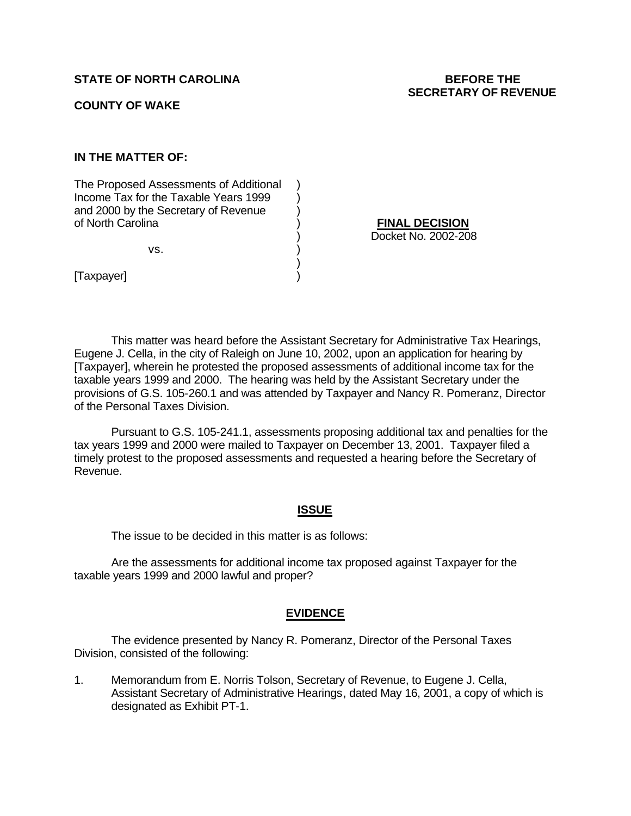### **COUNTY OF WAKE**

# **IN THE MATTER OF:**

The Proposed Assessments of Additional ) Income Tax for the Taxable Years 1999 and 2000 by the Secretary of Revenue  $\qquad)$ of North Carolina ) **FINAL DECISION**

 $\mathsf{vs.} \qquad \qquad \mathsf{)}$ 

) Docket No. 2002-208

[Taxpayer] )

This matter was heard before the Assistant Secretary for Administrative Tax Hearings, Eugene J. Cella, in the city of Raleigh on June 10, 2002, upon an application for hearing by [Taxpayer], wherein he protested the proposed assessments of additional income tax for the taxable years 1999 and 2000. The hearing was held by the Assistant Secretary under the provisions of G.S. 105-260.1 and was attended by Taxpayer and Nancy R. Pomeranz, Director of the Personal Taxes Division.

)

Pursuant to G.S. 105-241.1, assessments proposing additional tax and penalties for the tax years 1999 and 2000 were mailed to Taxpayer on December 13, 2001. Taxpayer filed a timely protest to the proposed assessments and requested a hearing before the Secretary of Revenue.

#### **ISSUE**

The issue to be decided in this matter is as follows:

Are the assessments for additional income tax proposed against Taxpayer for the taxable years 1999 and 2000 lawful and proper?

#### **EVIDENCE**

The evidence presented by Nancy R. Pomeranz, Director of the Personal Taxes Division, consisted of the following:

1. Memorandum from E. Norris Tolson, Secretary of Revenue, to Eugene J. Cella, Assistant Secretary of Administrative Hearings, dated May 16, 2001, a copy of which is designated as Exhibit PT-1.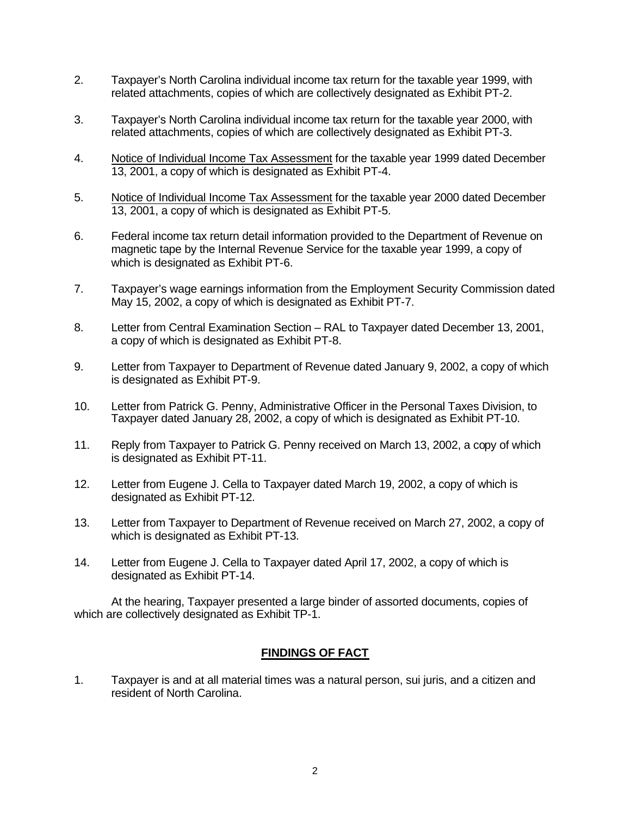- 2. Taxpayer's North Carolina individual income tax return for the taxable year 1999, with related attachments, copies of which are collectively designated as Exhibit PT-2.
- 3. Taxpayer's North Carolina individual income tax return for the taxable year 2000, with related attachments, copies of which are collectively designated as Exhibit PT-3.
- 4. Notice of Individual Income Tax Assessment for the taxable year 1999 dated December 13, 2001, a copy of which is designated as Exhibit PT-4.
- 5. Notice of Individual Income Tax Assessment for the taxable year 2000 dated December 13, 2001, a copy of which is designated as Exhibit PT-5.
- 6. Federal income tax return detail information provided to the Department of Revenue on magnetic tape by the Internal Revenue Service for the taxable year 1999, a copy of which is designated as Exhibit PT-6.
- 7. Taxpayer's wage earnings information from the Employment Security Commission dated May 15, 2002, a copy of which is designated as Exhibit PT-7.
- 8. Letter from Central Examination Section RAL to Taxpayer dated December 13, 2001, a copy of which is designated as Exhibit PT-8.
- 9. Letter from Taxpayer to Department of Revenue dated January 9, 2002, a copy of which is designated as Exhibit PT-9.
- 10. Letter from Patrick G. Penny, Administrative Officer in the Personal Taxes Division, to Taxpayer dated January 28, 2002, a copy of which is designated as Exhibit PT-10.
- 11. Reply from Taxpayer to Patrick G. Penny received on March 13, 2002, a copy of which is designated as Exhibit PT-11.
- 12. Letter from Eugene J. Cella to Taxpayer dated March 19, 2002, a copy of which is designated as Exhibit PT-12.
- 13. Letter from Taxpayer to Department of Revenue received on March 27, 2002, a copy of which is designated as Exhibit PT-13.
- 14. Letter from Eugene J. Cella to Taxpayer dated April 17, 2002, a copy of which is designated as Exhibit PT-14.

At the hearing, Taxpayer presented a large binder of assorted documents, copies of which are collectively designated as Exhibit TP-1.

## **FINDINGS OF FACT**

1. Taxpayer is and at all material times was a natural person, sui juris, and a citizen and resident of North Carolina.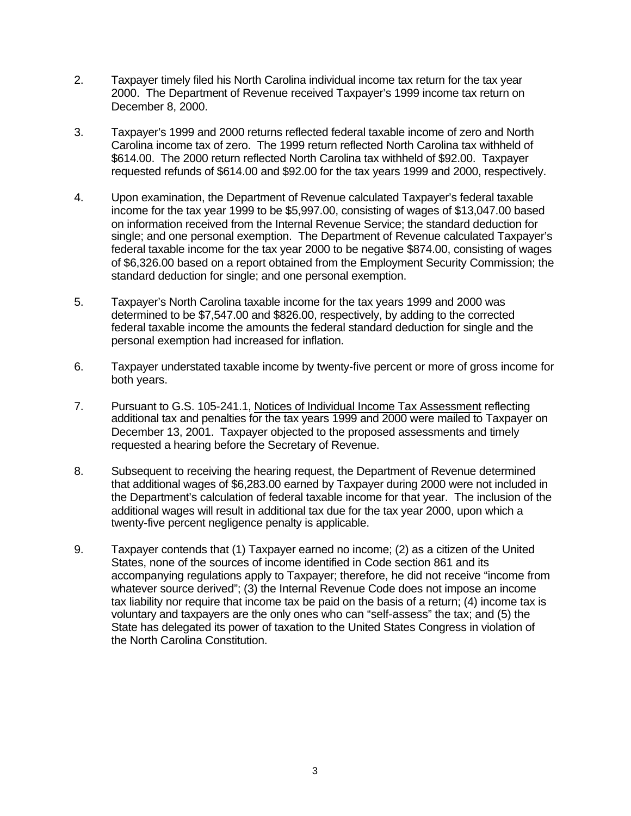- 2. Taxpayer timely filed his North Carolina individual income tax return for the tax year 2000. The Department of Revenue received Taxpayer's 1999 income tax return on December 8, 2000.
- 3. Taxpayer's 1999 and 2000 returns reflected federal taxable income of zero and North Carolina income tax of zero. The 1999 return reflected North Carolina tax withheld of \$614.00. The 2000 return reflected North Carolina tax withheld of \$92.00. Taxpayer requested refunds of \$614.00 and \$92.00 for the tax years 1999 and 2000, respectively.
- 4. Upon examination, the Department of Revenue calculated Taxpayer's federal taxable income for the tax year 1999 to be \$5,997.00, consisting of wages of \$13,047.00 based on information received from the Internal Revenue Service; the standard deduction for single; and one personal exemption. The Department of Revenue calculated Taxpayer's federal taxable income for the tax year 2000 to be negative \$874.00, consisting of wages of \$6,326.00 based on a report obtained from the Employment Security Commission; the standard deduction for single; and one personal exemption.
- 5. Taxpayer's North Carolina taxable income for the tax years 1999 and 2000 was determined to be \$7,547.00 and \$826.00, respectively, by adding to the corrected federal taxable income the amounts the federal standard deduction for single and the personal exemption had increased for inflation.
- 6. Taxpayer understated taxable income by twenty-five percent or more of gross income for both years.
- 7. Pursuant to G.S. 105-241.1, Notices of Individual Income Tax Assessment reflecting additional tax and penalties for the tax years 1999 and 2000 were mailed to Taxpayer on December 13, 2001. Taxpayer objected to the proposed assessments and timely requested a hearing before the Secretary of Revenue.
- 8. Subsequent to receiving the hearing request, the Department of Revenue determined that additional wages of \$6,283.00 earned by Taxpayer during 2000 were not included in the Department's calculation of federal taxable income for that year. The inclusion of the additional wages will result in additional tax due for the tax year 2000, upon which a twenty-five percent negligence penalty is applicable.
- 9. Taxpayer contends that (1) Taxpayer earned no income; (2) as a citizen of the United States, none of the sources of income identified in Code section 861 and its accompanying regulations apply to Taxpayer; therefore, he did not receive "income from whatever source derived"; (3) the Internal Revenue Code does not impose an income tax liability nor require that income tax be paid on the basis of a return; (4) income tax is voluntary and taxpayers are the only ones who can "self-assess" the tax; and (5) the State has delegated its power of taxation to the United States Congress in violation of the North Carolina Constitution.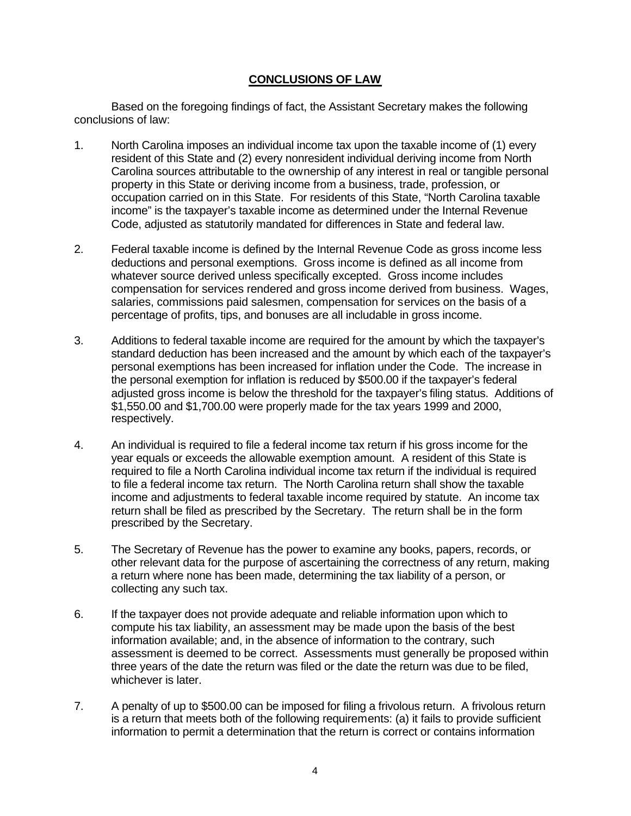# **CONCLUSIONS OF LAW**

Based on the foregoing findings of fact, the Assistant Secretary makes the following conclusions of law:

- 1. North Carolina imposes an individual income tax upon the taxable income of (1) every resident of this State and (2) every nonresident individual deriving income from North Carolina sources attributable to the ownership of any interest in real or tangible personal property in this State or deriving income from a business, trade, profession, or occupation carried on in this State. For residents of this State, "North Carolina taxable income" is the taxpayer's taxable income as determined under the Internal Revenue Code, adjusted as statutorily mandated for differences in State and federal law.
- 2. Federal taxable income is defined by the Internal Revenue Code as gross income less deductions and personal exemptions. Gross income is defined as all income from whatever source derived unless specifically excepted. Gross income includes compensation for services rendered and gross income derived from business. Wages, salaries, commissions paid salesmen, compensation for services on the basis of a percentage of profits, tips, and bonuses are all includable in gross income.
- 3. Additions to federal taxable income are required for the amount by which the taxpayer's standard deduction has been increased and the amount by which each of the taxpayer's personal exemptions has been increased for inflation under the Code. The increase in the personal exemption for inflation is reduced by \$500.00 if the taxpayer's federal adjusted gross income is below the threshold for the taxpayer's filing status. Additions of \$1,550.00 and \$1,700.00 were properly made for the tax years 1999 and 2000, respectively.
- 4. An individual is required to file a federal income tax return if his gross income for the year equals or exceeds the allowable exemption amount. A resident of this State is required to file a North Carolina individual income tax return if the individual is required to file a federal income tax return. The North Carolina return shall show the taxable income and adjustments to federal taxable income required by statute. An income tax return shall be filed as prescribed by the Secretary. The return shall be in the form prescribed by the Secretary.
- 5. The Secretary of Revenue has the power to examine any books, papers, records, or other relevant data for the purpose of ascertaining the correctness of any return, making a return where none has been made, determining the tax liability of a person, or collecting any such tax.
- 6. If the taxpayer does not provide adequate and reliable information upon which to compute his tax liability, an assessment may be made upon the basis of the best information available; and, in the absence of information to the contrary, such assessment is deemed to be correct. Assessments must generally be proposed within three years of the date the return was filed or the date the return was due to be filed, whichever is later.
- 7. A penalty of up to \$500.00 can be imposed for filing a frivolous return. A frivolous return is a return that meets both of the following requirements: (a) it fails to provide sufficient information to permit a determination that the return is correct or contains information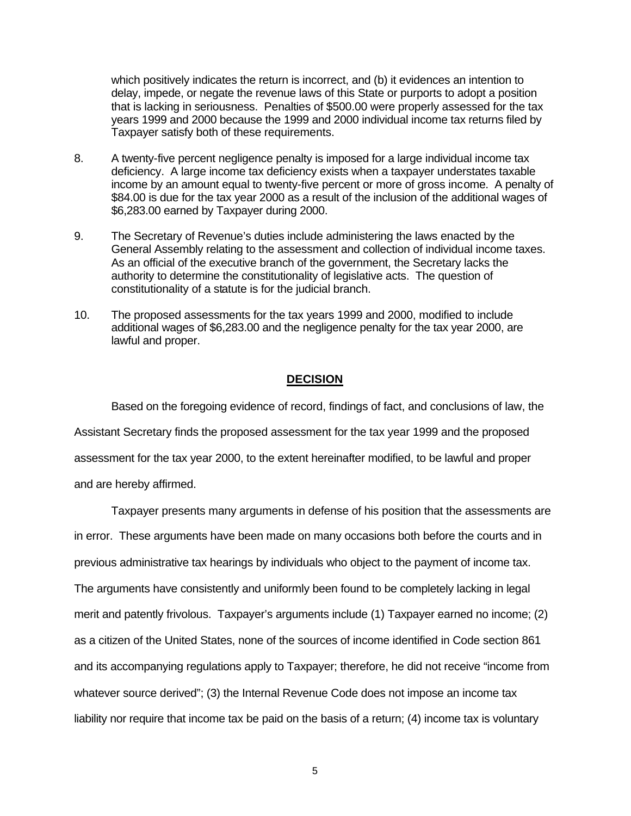which positively indicates the return is incorrect, and (b) it evidences an intention to delay, impede, or negate the revenue laws of this State or purports to adopt a position that is lacking in seriousness. Penalties of \$500.00 were properly assessed for the tax years 1999 and 2000 because the 1999 and 2000 individual income tax returns filed by Taxpayer satisfy both of these requirements.

- 8. A twenty-five percent negligence penalty is imposed for a large individual income tax deficiency. A large income tax deficiency exists when a taxpayer understates taxable income by an amount equal to twenty-five percent or more of gross income. A penalty of \$84.00 is due for the tax year 2000 as a result of the inclusion of the additional wages of \$6,283.00 earned by Taxpayer during 2000.
- 9. The Secretary of Revenue's duties include administering the laws enacted by the General Assembly relating to the assessment and collection of individual income taxes. As an official of the executive branch of the government, the Secretary lacks the authority to determine the constitutionality of legislative acts. The question of constitutionality of a statute is for the judicial branch.
- 10. The proposed assessments for the tax years 1999 and 2000, modified to include additional wages of \$6,283.00 and the negligence penalty for the tax year 2000, are lawful and proper.

## **DECISION**

Based on the foregoing evidence of record, findings of fact, and conclusions of law, the Assistant Secretary finds the proposed assessment for the tax year 1999 and the proposed assessment for the tax year 2000, to the extent hereinafter modified, to be lawful and proper and are hereby affirmed.

Taxpayer presents many arguments in defense of his position that the assessments are in error. These arguments have been made on many occasions both before the courts and in previous administrative tax hearings by individuals who object to the payment of income tax. The arguments have consistently and uniformly been found to be completely lacking in legal merit and patently frivolous. Taxpayer's arguments include (1) Taxpayer earned no income; (2) as a citizen of the United States, none of the sources of income identified in Code section 861 and its accompanying regulations apply to Taxpayer; therefore, he did not receive "income from whatever source derived"; (3) the Internal Revenue Code does not impose an income tax liability nor require that income tax be paid on the basis of a return; (4) income tax is voluntary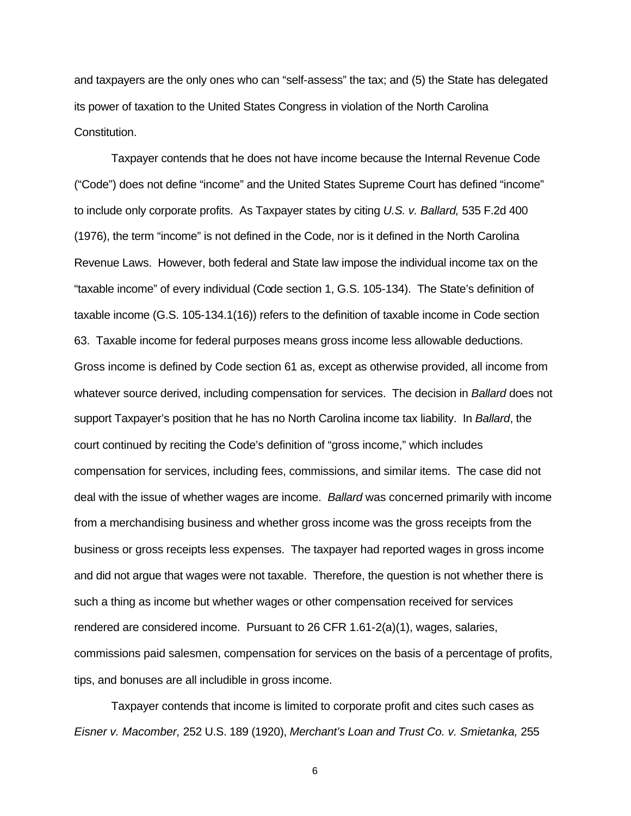and taxpayers are the only ones who can "self-assess" the tax; and (5) the State has delegated its power of taxation to the United States Congress in violation of the North Carolina Constitution.

Taxpayer contends that he does not have income because the Internal Revenue Code ("Code") does not define "income" and the United States Supreme Court has defined "income" to include only corporate profits. As Taxpayer states by citing *U.S. v. Ballard,* 535 F.2d 400 (1976), the term "income" is not defined in the Code, nor is it defined in the North Carolina Revenue Laws. However, both federal and State law impose the individual income tax on the "taxable income" of every individual (Code section 1, G.S. 105-134). The State's definition of taxable income (G.S. 105-134.1(16)) refers to the definition of taxable income in Code section 63. Taxable income for federal purposes means gross income less allowable deductions. Gross income is defined by Code section 61 as, except as otherwise provided, all income from whatever source derived, including compensation for services. The decision in *Ballard* does not support Taxpayer's position that he has no North Carolina income tax liability. In *Ballard*, the court continued by reciting the Code's definition of "gross income," which includes compensation for services, including fees, commissions, and similar items. The case did not deal with the issue of whether wages are income. *Ballard* was concerned primarily with income from a merchandising business and whether gross income was the gross receipts from the business or gross receipts less expenses. The taxpayer had reported wages in gross income and did not argue that wages were not taxable. Therefore, the question is not whether there is such a thing as income but whether wages or other compensation received for services rendered are considered income. Pursuant to 26 CFR 1.61-2(a)(1), wages, salaries, commissions paid salesmen, compensation for services on the basis of a percentage of profits, tips, and bonuses are all includible in gross income.

Taxpayer contends that income is limited to corporate profit and cites such cases as *Eisner v. Macomber,* 252 U.S. 189 (1920), *Merchant's Loan and Trust Co. v. Smietanka,* 255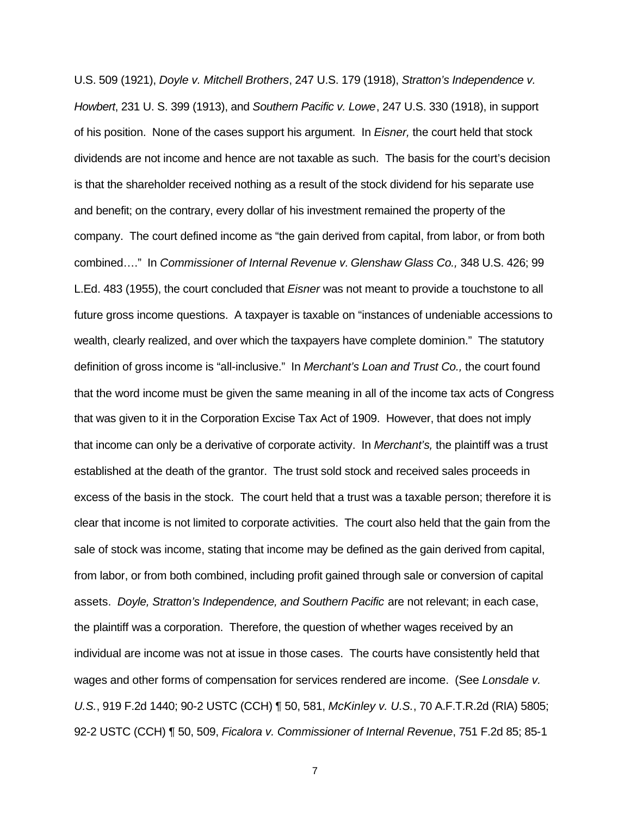U.S. 509 (1921), *Doyle v. Mitchell Brothers*, 247 U.S. 179 (1918), *Stratton's Independence v. Howbert*, 231 U. S. 399 (1913), and *Southern Pacific v. Lowe*, 247 U.S. 330 (1918), in support of his position. None of the cases support his argument. In *Eisner,* the court held that stock dividends are not income and hence are not taxable as such. The basis for the court's decision is that the shareholder received nothing as a result of the stock dividend for his separate use and benefit; on the contrary, every dollar of his investment remained the property of the company. The court defined income as "the gain derived from capital, from labor, or from both combined…." In *Commissioner of Internal Revenue v. Glenshaw Glass Co.,* 348 U.S. 426; 99 L.Ed. 483 (1955), the court concluded that *Eisner* was not meant to provide a touchstone to all future gross income questions. A taxpayer is taxable on "instances of undeniable accessions to wealth, clearly realized, and over which the taxpayers have complete dominion." The statutory definition of gross income is "all-inclusive." In *Merchant's Loan and Trust Co.,* the court found that the word income must be given the same meaning in all of the income tax acts of Congress that was given to it in the Corporation Excise Tax Act of 1909. However, that does not imply that income can only be a derivative of corporate activity. In *Merchant's,* the plaintiff was a trust established at the death of the grantor. The trust sold stock and received sales proceeds in excess of the basis in the stock. The court held that a trust was a taxable person; therefore it is clear that income is not limited to corporate activities. The court also held that the gain from the sale of stock was income, stating that income may be defined as the gain derived from capital, from labor, or from both combined, including profit gained through sale or conversion of capital assets. *Doyle, Stratton's Independence, and Southern Pacific* are not relevant; in each case, the plaintiff was a corporation. Therefore, the question of whether wages received by an individual are income was not at issue in those cases. The courts have consistently held that wages and other forms of compensation for services rendered are income. (See *Lonsdale v. U.S.*, 919 F.2d 1440; 90-2 USTC (CCH) ¶ 50, 581, *McKinley v. U.S.*, 70 A.F.T.R.2d (RIA) 5805; 92-2 USTC (CCH) ¶ 50, 509, *Ficalora v. Commissioner of Internal Revenue*, 751 F.2d 85; 85-1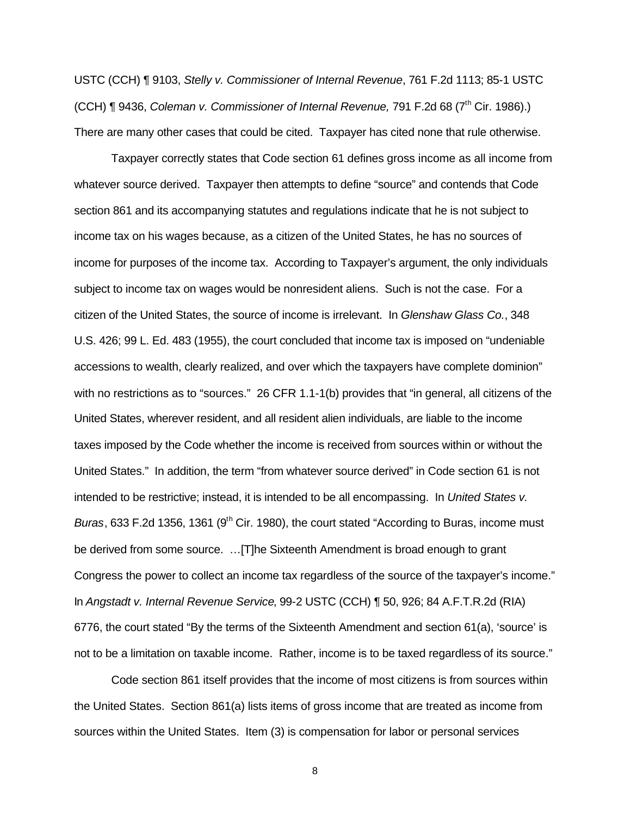USTC (CCH) ¶ 9103, *Stelly v. Commissioner of Internal Revenue*, 761 F.2d 1113; 85-1 USTC (CCH) ¶ 9436, *Coleman v. Commissioner of Internal Revenue*, 791 F.2d 68 (7<sup>th</sup> Cir. 1986).) There are many other cases that could be cited. Taxpayer has cited none that rule otherwise.

Taxpayer correctly states that Code section 61 defines gross income as all income from whatever source derived. Taxpayer then attempts to define "source" and contends that Code section 861 and its accompanying statutes and regulations indicate that he is not subject to income tax on his wages because, as a citizen of the United States, he has no sources of income for purposes of the income tax. According to Taxpayer's argument, the only individuals subject to income tax on wages would be nonresident aliens. Such is not the case. For a citizen of the United States, the source of income is irrelevant. In *Glenshaw Glass Co.*, 348 U.S. 426; 99 L. Ed. 483 (1955), the court concluded that income tax is imposed on "undeniable accessions to wealth, clearly realized, and over which the taxpayers have complete dominion" with no restrictions as to "sources." 26 CFR 1.1-1(b) provides that "in general, all citizens of the United States, wherever resident, and all resident alien individuals, are liable to the income taxes imposed by the Code whether the income is received from sources within or without the United States." In addition, the term "from whatever source derived" in Code section 61 is not intended to be restrictive; instead, it is intended to be all encompassing. In *United States v.*  Buras, 633 F.2d 1356, 1361 (9<sup>th</sup> Cir. 1980), the court stated "According to Buras, income must be derived from some source. …[T]he Sixteenth Amendment is broad enough to grant Congress the power to collect an income tax regardless of the source of the taxpayer's income." In *Angstadt v. Internal Revenue Service*, 99-2 USTC (CCH) ¶ 50, 926; 84 A.F.T.R.2d (RIA) 6776, the court stated "By the terms of the Sixteenth Amendment and section 61(a), 'source' is not to be a limitation on taxable income. Rather, income is to be taxed regardless of its source."

Code section 861 itself provides that the income of most citizens is from sources within the United States. Section 861(a) lists items of gross income that are treated as income from sources within the United States. Item (3) is compensation for labor or personal services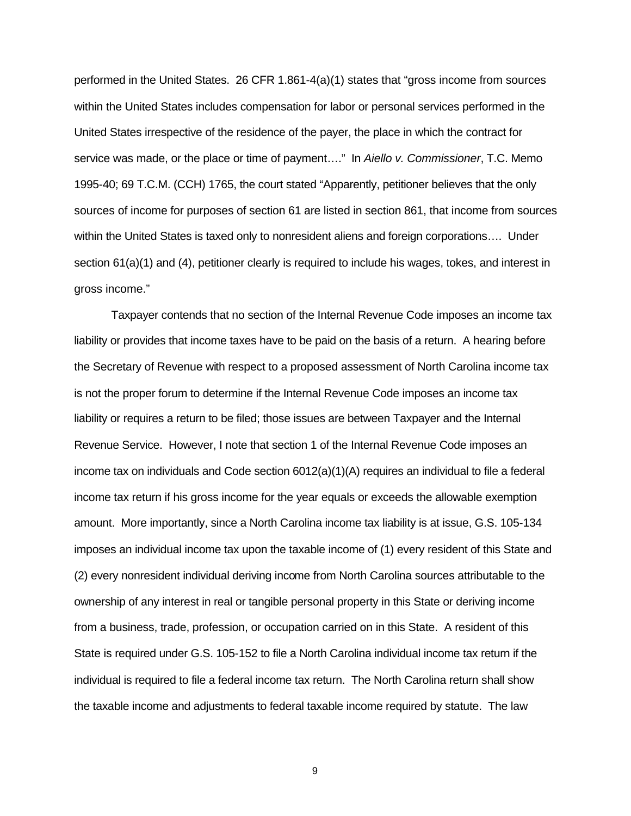performed in the United States. 26 CFR 1.861-4(a)(1) states that "gross income from sources within the United States includes compensation for labor or personal services performed in the United States irrespective of the residence of the payer, the place in which the contract for service was made, or the place or time of payment…." In *Aiello v. Commissioner*, T.C. Memo 1995-40; 69 T.C.M. (CCH) 1765, the court stated "Apparently, petitioner believes that the only sources of income for purposes of section 61 are listed in section 861, that income from sources within the United States is taxed only to nonresident aliens and foreign corporations…. Under section 61(a)(1) and (4), petitioner clearly is required to include his wages, tokes, and interest in gross income."

Taxpayer contends that no section of the Internal Revenue Code imposes an income tax liability or provides that income taxes have to be paid on the basis of a return. A hearing before the Secretary of Revenue with respect to a proposed assessment of North Carolina income tax is not the proper forum to determine if the Internal Revenue Code imposes an income tax liability or requires a return to be filed; those issues are between Taxpayer and the Internal Revenue Service. However, I note that section 1 of the Internal Revenue Code imposes an income tax on individuals and Code section 6012(a)(1)(A) requires an individual to file a federal income tax return if his gross income for the year equals or exceeds the allowable exemption amount. More importantly, since a North Carolina income tax liability is at issue, G.S. 105-134 imposes an individual income tax upon the taxable income of (1) every resident of this State and (2) every nonresident individual deriving income from North Carolina sources attributable to the ownership of any interest in real or tangible personal property in this State or deriving income from a business, trade, profession, or occupation carried on in this State. A resident of this State is required under G.S. 105-152 to file a North Carolina individual income tax return if the individual is required to file a federal income tax return. The North Carolina return shall show the taxable income and adjustments to federal taxable income required by statute. The law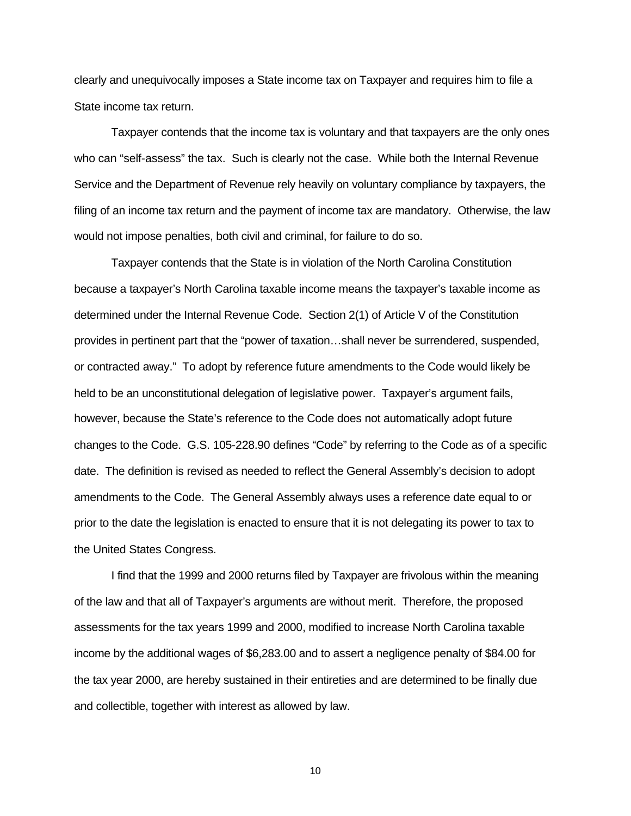clearly and unequivocally imposes a State income tax on Taxpayer and requires him to file a State income tax return.

Taxpayer contends that the income tax is voluntary and that taxpayers are the only ones who can "self-assess" the tax. Such is clearly not the case. While both the Internal Revenue Service and the Department of Revenue rely heavily on voluntary compliance by taxpayers, the filing of an income tax return and the payment of income tax are mandatory. Otherwise, the law would not impose penalties, both civil and criminal, for failure to do so.

Taxpayer contends that the State is in violation of the North Carolina Constitution because a taxpayer's North Carolina taxable income means the taxpayer's taxable income as determined under the Internal Revenue Code. Section 2(1) of Article V of the Constitution provides in pertinent part that the "power of taxation…shall never be surrendered, suspended, or contracted away." To adopt by reference future amendments to the Code would likely be held to be an unconstitutional delegation of legislative power. Taxpayer's argument fails, however, because the State's reference to the Code does not automatically adopt future changes to the Code. G.S. 105-228.90 defines "Code" by referring to the Code as of a specific date. The definition is revised as needed to reflect the General Assembly's decision to adopt amendments to the Code. The General Assembly always uses a reference date equal to or prior to the date the legislation is enacted to ensure that it is not delegating its power to tax to the United States Congress.

I find that the 1999 and 2000 returns filed by Taxpayer are frivolous within the meaning of the law and that all of Taxpayer's arguments are without merit. Therefore, the proposed assessments for the tax years 1999 and 2000, modified to increase North Carolina taxable income by the additional wages of \$6,283.00 and to assert a negligence penalty of \$84.00 for the tax year 2000, are hereby sustained in their entireties and are determined to be finally due and collectible, together with interest as allowed by law.